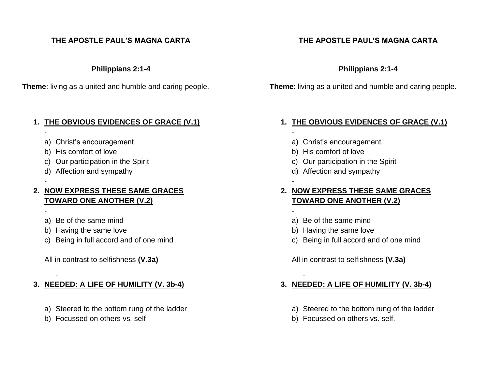### **THE APOSTLE PAUL'S MAGNA CARTA**

**Philippians 2:1-4**

**Theme**: living as a united and humble and caring people.

### **1. THE OBVIOUS EVIDENCES OF GRACE (V.1)**

- a) Christ's encouragement
- b) His comfort of love

-

-

-

-

- c) Our participation in the Spirit
- d) Affection and sympathy

### **2. NOW EXPRESS THESE SAME GRACES TOWARD ONE ANOTHER (V.2)**

- a) Be of the same mind
- b) Having the same love
- c) Being in full accord and of one mind

All in contrast to selfishness **(V.3a)**

### **3. NEEDED: A LIFE OF HUMILITY (V. 3b-4)**

- a) Steered to the bottom rung of the ladder
- b) Focussed on others vs. self

# **THE APOSTLE PAUL'S MAGNA CARTA**

### **Philippians 2:1-4**

**Theme**: living as a united and humble and caring people.

## **1. THE OBVIOUS EVIDENCES OF GRACE (V.1)**

- a) Christ's encouragement
- b) His comfort of love

-

-

-

-

- c) Our participation in the Spirit
- d) Affection and sympathy

## **2. NOW EXPRESS THESE SAME GRACES TOWARD ONE ANOTHER (V.2)**

- a) Be of the same mind
- b) Having the same love
- c) Being in full accord and of one mind

All in contrast to selfishness **(V.3a)**

# **3. NEEDED: A LIFE OF HUMILITY (V. 3b-4)**

- a) Steered to the bottom rung of the ladder
- b) Focussed on others vs. self.